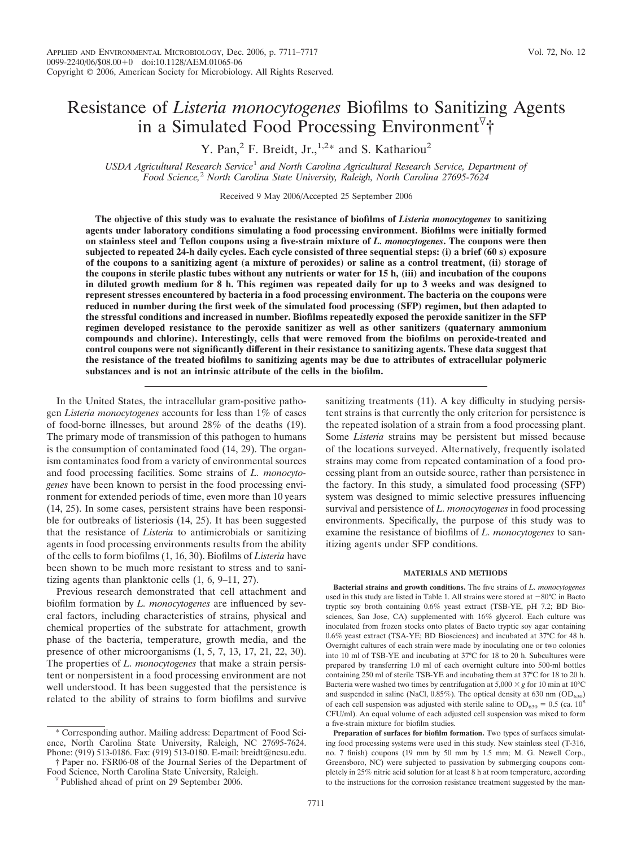# Resistance of *Listeria monocytogenes* Biofilms to Sanitizing Agents in a Simulated Food Processing Environment<sup>7</sup>†

Y. Pan,<sup>2</sup> F. Breidt, Jr.,<sup>1,2\*</sup> and S. Kathariou<sup>2</sup>

*USDA Agricultural Research Service*<sup>1</sup> *and North Carolina Agricultural Research Service, Department of Food Science,*<sup>2</sup> *North Carolina State University, Raleigh, North Carolina 27695-7624*

Received 9 May 2006/Accepted 25 September 2006

**The objective of this study was to evaluate the resistance of biofilms of** *Listeria monocytogenes* **to sanitizing agents under laboratory conditions simulating a food processing environment. Biofilms were initially formed on stainless steel and Teflon coupons using a five-strain mixture of** *L. monocytogenes***. The coupons were then subjected to repeated 24-h daily cycles. Each cycle consisted of three sequential steps: (i) a brief (60 s) exposure of the coupons to a sanitizing agent (a mixture of peroxides) or saline as a control treatment, (ii) storage of the coupons in sterile plastic tubes without any nutrients or water for 15 h, (iii) and incubation of the coupons in diluted growth medium for 8 h. This regimen was repeated daily for up to 3 weeks and was designed to represent stresses encountered by bacteria in a food processing environment. The bacteria on the coupons were reduced in number during the first week of the simulated food processing (SFP) regimen, but then adapted to the stressful conditions and increased in number. Biofilms repeatedly exposed the peroxide sanitizer in the SFP regimen developed resistance to the peroxide sanitizer as well as other sanitizers (quaternary ammonium compounds and chlorine). Interestingly, cells that were removed from the biofilms on peroxide-treated and control coupons were not significantly different in their resistance to sanitizing agents. These data suggest that the resistance of the treated biofilms to sanitizing agents may be due to attributes of extracellular polymeric substances and is not an intrinsic attribute of the cells in the biofilm.**

In the United States, the intracellular gram-positive pathogen *Listeria monocytogenes* accounts for less than 1% of cases of food-borne illnesses, but around 28% of the deaths (19). The primary mode of transmission of this pathogen to humans is the consumption of contaminated food (14, 29). The organism contaminates food from a variety of environmental sources and food processing facilities. Some strains of *L. monocytogenes* have been known to persist in the food processing environment for extended periods of time, even more than 10 years (14, 25). In some cases, persistent strains have been responsible for outbreaks of listeriosis (14, 25). It has been suggested that the resistance of *Listeria* to antimicrobials or sanitizing agents in food processing environments results from the ability of the cells to form biofilms (1, 16, 30). Biofilms of *Listeria* have been shown to be much more resistant to stress and to sanitizing agents than planktonic cells (1, 6, 9–11, 27).

Previous research demonstrated that cell attachment and biofilm formation by *L. monocytogenes* are influenced by several factors, including characteristics of strains, physical and chemical properties of the substrate for attachment, growth phase of the bacteria, temperature, growth media, and the presence of other microorganisms (1, 5, 7, 13, 17, 21, 22, 30). The properties of *L. monocytogenes* that make a strain persistent or nonpersistent in a food processing environment are not well understood. It has been suggested that the persistence is related to the ability of strains to form biofilms and survive

† Paper no. FSR06-08 of the Journal Series of the Department of

sanitizing treatments (11). A key difficulty in studying persistent strains is that currently the only criterion for persistence is the repeated isolation of a strain from a food processing plant. Some *Listeria* strains may be persistent but missed because of the locations surveyed. Alternatively, frequently isolated strains may come from repeated contamination of a food processing plant from an outside source, rather than persistence in the factory. In this study, a simulated food processing (SFP) system was designed to mimic selective pressures influencing survival and persistence of *L. monocytogenes* in food processing environments. Specifically, the purpose of this study was to examine the resistance of biofilms of *L. monocytogenes* to sanitizing agents under SFP conditions.

#### **MATERIALS AND METHODS**

**Bacterial strains and growth conditions.** The five strains of *L. monocytogenes* used in this study are listed in Table 1. All strains were stored at  $-80^{\circ}\text{C}$  in Bacto tryptic soy broth containing 0.6% yeast extract (TSB-YE, pH 7.2; BD Biosciences, San Jose, CA) supplemented with 16% glycerol. Each culture was inoculated from frozen stocks onto plates of Bacto tryptic soy agar containing 0.6% yeast extract (TSA-YE; BD Biosciences) and incubated at 37°C for 48 h. Overnight cultures of each strain were made by inoculating one or two colonies into 10 ml of TSB-YE and incubating at 37°C for 18 to 20 h. Subcultures were prepared by transferring 1.0 ml of each overnight culture into 500-ml bottles containing 250 ml of sterile TSB-YE and incubating them at 37°C for 18 to 20 h. Bacteria were washed two times by centrifugation at  $5,000 \times g$  for 10 min at 10<sup>o</sup>C and suspended in saline (NaCl,  $0.85\%$ ). The optical density at 630 nm (OD<sub>630</sub>) of each cell suspension was adjusted with sterile saline to  $OD_{630} = 0.5$  (ca. 10<sup>8</sup>) CFU/ml). An equal volume of each adjusted cell suspension was mixed to form a five-strain mixture for biofilm studies.

**Preparation of surfaces for biofilm formation.** Two types of surfaces simulating food processing systems were used in this study. New stainless steel (T-316, no. 7 finish) coupons (19 mm by 50 mm by 1.5 mm; M. G. Newell Corp., Greensboro, NC) were subjected to passivation by submerging coupons completely in 25% nitric acid solution for at least 8 h at room temperature, according to the instructions for the corrosion resistance treatment suggested by the man-

<sup>\*</sup> Corresponding author. Mailing address: Department of Food Science, North Carolina State University, Raleigh, NC 27695-7624. Phone: (919) 513-0186. Fax: (919) 513-0180. E-mail: breidt@ncsu.edu.

 $\nabla$  Published ahead of print on 29 September 2006.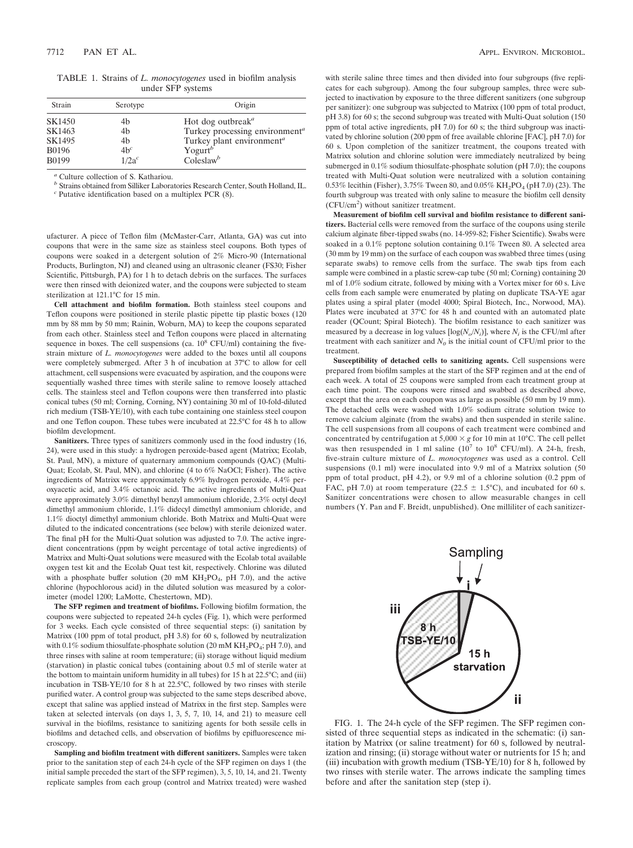TABLE 1. Strains of *L. monocytogenes* used in biofilm analysis under SFP systems

| Strain       | Serotype | Origin                                     |
|--------------|----------|--------------------------------------------|
| SK1450       | 4b       | Hot dog outbreak <sup><i>a</i></sup>       |
| SK1463       | 4b       | Turkey processing environment <sup>a</sup> |
| SK1495       | 4b       | Turkey plant environment <sup>a</sup>      |
| <b>B0196</b> | $4b^c$   | Yogurt <sup>b</sup>                        |
| <b>B0199</b> | $1/2a^c$ | Coleslaw <sup>b</sup>                      |

*<sup>a</sup>* Culture collection of S. Kathariou.

*<sup>b</sup>* Strains obtained from Silliker Laboratories Research Center, South Holland, IL. *<sup>c</sup>* Putative identification based on a multiplex PCR (8).

ufacturer. A piece of Teflon film (McMaster-Carr, Atlanta, GA) was cut into coupons that were in the same size as stainless steel coupons. Both types of coupons were soaked in a detergent solution of 2% Micro-90 (International Products, Burlington, NJ) and cleaned using an ultrasonic cleaner (FS30; Fisher Scientific, Pittsburgh, PA) for 1 h to detach debris on the surfaces. The surfaces were then rinsed with deionized water, and the coupons were subjected to steam sterilization at 121.1°C for 15 min.

**Cell attachment and biofilm formation.** Both stainless steel coupons and Teflon coupons were positioned in sterile plastic pipette tip plastic boxes (120 mm by 88 mm by 50 mm; Rainin, Woburn, MA) to keep the coupons separated from each other. Stainless steel and Teflon coupons were placed in alternating sequence in boxes. The cell suspensions (ca.  $10^8$  CFU/ml) containing the fivestrain mixture of *L. monocytogenes* were added to the boxes until all coupons were completely submerged. After 3 h of incubation at 37°C to allow for cell attachment, cell suspensions were evacuated by aspiration, and the coupons were sequentially washed three times with sterile saline to remove loosely attached cells. The stainless steel and Teflon coupons were then transferred into plastic conical tubes (50 ml; Corning, Corning, NY) containing 30 ml of 10-fold-diluted rich medium (TSB-YE/10), with each tube containing one stainless steel coupon and one Teflon coupon. These tubes were incubated at 22.5°C for 48 h to allow biofilm development.

**Sanitizers.** Three types of sanitizers commonly used in the food industry (16, 24), were used in this study: a hydrogen peroxide-based agent (Matrixx; Ecolab, St. Paul, MN), a mixture of quaternary ammonium compounds (QAC) (Multi-Quat; Ecolab, St. Paul, MN), and chlorine (4 to 6% NaOCl; Fisher). The active ingredients of Matrixx were approximately 6.9% hydrogen peroxide, 4.4% peroxyacetic acid, and 3.4% octanoic acid. The active ingredients of Multi-Quat were approximately 3.0% dimethyl benzyl ammonium chloride, 2.3% octyl decyl dimethyl ammonium chloride, 1.1% didecyl dimethyl ammonium chloride, and 1.1% dioctyl dimethyl ammonium chloride. Both Matrixx and Multi-Quat were diluted to the indicated concentrations (see below) with sterile deionized water. The final pH for the Multi-Quat solution was adjusted to 7.0. The active ingredient concentrations (ppm by weight percentage of total active ingredients) of Matrixx and Multi-Quat solutions were measured with the Ecolab total available oxygen test kit and the Ecolab Quat test kit, respectively. Chlorine was diluted with a phosphate buffer solution (20 mM  $KH_2PO_4$ , pH 7.0), and the active chlorine (hypochlorous acid) in the diluted solution was measured by a colorimeter (model 1200; LaMotte, Chestertown, MD).

**The SFP regimen and treatment of biofilms.** Following biofilm formation, the coupons were subjected to repeated 24-h cycles (Fig. 1), which were performed for 3 weeks. Each cycle consisted of three sequential steps: (i) sanitation by Matrixx (100 ppm of total product, pH 3.8) for 60 s, followed by neutralization with 0.1% sodium thiosulfate-phosphate solution (20 mM  $KH_2PO_4$ ; pH 7.0), and three rinses with saline at room temperature; (ii) storage without liquid medium (starvation) in plastic conical tubes (containing about 0.5 ml of sterile water at the bottom to maintain uniform humidity in all tubes) for 15 h at 22.5°C; and (iii) incubation in TSB-YE/10 for 8 h at 22.5°C, followed by two rinses with sterile purified water. A control group was subjected to the same steps described above, except that saline was applied instead of Matrixx in the first step. Samples were taken at selected intervals (on days 1, 3, 5, 7, 10, 14, and 21) to measure cell survival in the biofilms, resistance to sanitizing agents for both sessile cells in biofilms and detached cells, and observation of biofilms by epifluorescence microscopy.

**Sampling and biofilm treatment with different sanitizers.** Samples were taken prior to the sanitation step of each 24-h cycle of the SFP regimen on days 1 (the initial sample preceded the start of the SFP regimen), 3, 5, 10, 14, and 21. Twenty replicate samples from each group (control and Matrixx treated) were washed

with sterile saline three times and then divided into four subgroups (five replicates for each subgroup). Among the four subgroup samples, three were subjected to inactivation by exposure to the three different sanitizers (one subgroup per sanitizer): one subgroup was subjected to Matrixx (100 ppm of total product, pH 3.8) for 60 s; the second subgroup was treated with Multi-Quat solution (150 ppm of total active ingredients, pH 7.0) for 60 s; the third subgroup was inactivated by chlorine solution (200 ppm of free available chlorine [FAC], pH 7.0) for 60 s. Upon completion of the sanitizer treatment, the coupons treated with Matrixx solution and chlorine solution were immediately neutralized by being submerged in 0.1% sodium thiosulfate-phosphate solution (pH 7.0); the coupons treated with Multi-Quat solution were neutralized with a solution containing 0.53% lecithin (Fisher), 3.75% Tween 80, and 0.05% KH<sub>2</sub>PO<sub>4</sub> (pH 7.0) (23). The fourth subgroup was treated with only saline to measure the biofilm cell density (CFU/cm<sup>2</sup> ) without sanitizer treatment.

**Measurement of biofilm cell survival and biofilm resistance to different sanitizers.** Bacterial cells were removed from the surface of the coupons using sterile calcium alginate fiber-tipped swabs (no. 14-959-82; Fisher Scientific). Swabs were soaked in a 0.1% peptone solution containing 0.1% Tween 80. A selected area (30 mm by 19 mm) on the surface of each coupon was swabbed three times (using separate swabs) to remove cells from the surface. The swab tips from each sample were combined in a plastic screw-cap tube (50 ml; Corning) containing 20 ml of 1.0% sodium citrate, followed by mixing with a Vortex mixer for 60 s. Live cells from each sample were enumerated by plating on duplicate TSA-YE agar plates using a spiral plater (model 4000; Spiral Biotech, Inc., Norwood, MA). Plates were incubated at 37°C for 48 h and counted with an automated plate reader (QCount; Spiral Biotech). The biofilm resistance to each sanitizer was measured by a decrease in log values [ $log(N_o/N_i)$ ], where  $N_i$  is the CFU/ml after treatment with each sanitizer and  $N_0$  is the initial count of CFU/ml prior to the treatment.

**Susceptibility of detached cells to sanitizing agents.** Cell suspensions were prepared from biofilm samples at the start of the SFP regimen and at the end of each week. A total of 25 coupons were sampled from each treatment group at each time point. The coupons were rinsed and swabbed as described above, except that the area on each coupon was as large as possible (50 mm by 19 mm). The detached cells were washed with 1.0% sodium citrate solution twice to remove calcium alginate (from the swabs) and then suspended in sterile saline. The cell suspensions from all coupons of each treatment were combined and concentrated by centrifugation at  $5,000 \times g$  for 10 min at 10°C. The cell pellet was then resuspended in 1 ml saline  $(10^7 \text{ to } 10^8 \text{ CFU/ml})$ . A 24-h, fresh, five-strain culture mixture of *L. monocytogenes* was used as a control. Cell suspensions (0.1 ml) were inoculated into 9.9 ml of a Matrixx solution (50 ppm of total product, pH 4.2), or 9.9 ml of a chlorine solution (0.2 ppm of FAC, pH 7.0) at room temperature (22.5  $\pm$  1.5°C), and incubated for 60 s. Sanitizer concentrations were chosen to allow measurable changes in cell numbers (Y. Pan and F. Breidt, unpublished). One milliliter of each sanitizer-



FIG. 1. The 24-h cycle of the SFP regimen. The SFP regimen consisted of three sequential steps as indicated in the schematic: (i) sanitation by Matrixx (or saline treatment) for 60 s, followed by neutralization and rinsing; (ii) storage without water or nutrients for 15 h; and (iii) incubation with growth medium (TSB-YE/10) for 8 h, followed by two rinses with sterile water. The arrows indicate the sampling times before and after the sanitation step (step i).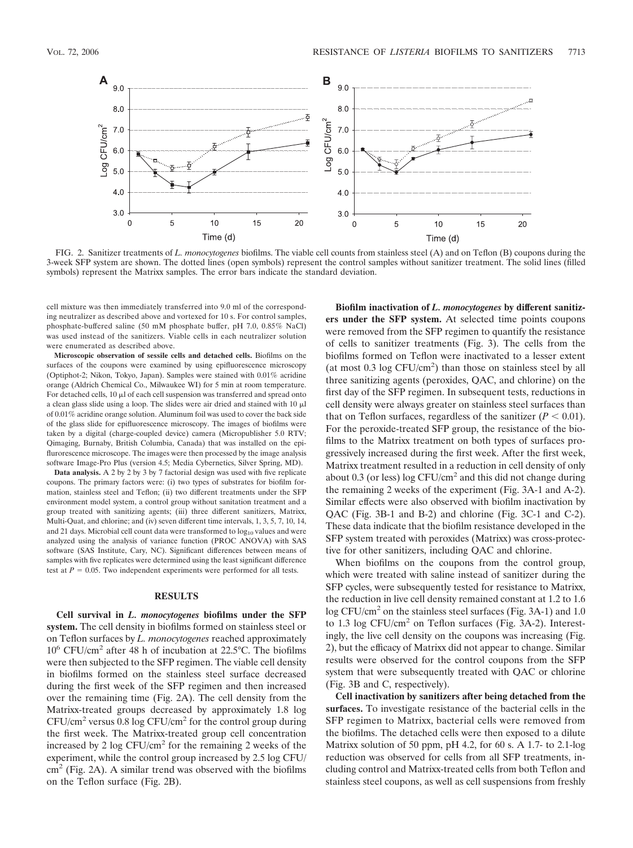

FIG. 2. Sanitizer treatments of *L. monocytogenes* biofilms. The viable cell counts from stainless steel (A) and on Teflon (B) coupons during the 3-week SFP system are shown. The dotted lines (open symbols) represent the control samples without sanitizer treatment. The solid lines (filled symbols) represent the Matrixx samples. The error bars indicate the standard deviation.

cell mixture was then immediately transferred into 9.0 ml of the corresponding neutralizer as described above and vortexed for 10 s. For control samples, phosphate-buffered saline (50 mM phosphate buffer, pH 7.0, 0.85% NaCl) was used instead of the sanitizers. Viable cells in each neutralizer solution were enumerated as described above.

**Microscopic observation of sessile cells and detached cells.** Biofilms on the surfaces of the coupons were examined by using epifluorescence microscopy (Optiphot-2; Nikon, Tokyo, Japan). Samples were stained with 0.01% acridine orange (Aldrich Chemical Co., Milwaukee WI) for 5 min at room temperature. For detached cells,  $10 \mu l$  of each cell suspension was transferred and spread onto a clean glass slide using a loop. The slides were air dried and stained with  $10 \mu l$ of 0.01% acridine orange solution. Aluminum foil was used to cover the back side of the glass slide for epifluorescence microscopy. The images of biofilms were taken by a digital (charge-coupled device) camera (Micropublisher 5.0 RTV; Qimaging, Burnaby, British Columbia, Canada) that was installed on the epiflurorescence microscope. The images were then processed by the image analysis software Image-Pro Plus (version 4.5; Media Cybernetics, Silver Spring, MD).

**Data analysis.** A 2 by 2 by 3 by 7 factorial design was used with five replicate coupons. The primary factors were: (i) two types of substrates for biofilm formation, stainless steel and Teflon; (ii) two different treatments under the SFP environment model system, a control group without sanitation treatment and a group treated with sanitizing agents; (iii) three different sanitizers, Matrixx, Multi-Quat, and chlorine; and (iv) seven different time intervals, 1, 3, 5, 7, 10, 14, and 21 days. Microbial cell count data were transformed to  $log_{10}$  values and were analyzed using the analysis of variance function (PROC ANOVA) with SAS software (SAS Institute, Cary, NC). Significant differences between means of samples with five replicates were determined using the least significant difference test at  $P = 0.05$ . Two independent experiments were performed for all tests.

#### **RESULTS**

**Cell survival in** *L. monocytogenes* **biofilms under the SFP system.** The cell density in biofilms formed on stainless steel or on Teflon surfaces by *L. monocytogenes* reached approximately  $10^6$  CFU/cm<sup>2</sup> after 48 h of incubation at 22.5 °C. The biofilms were then subjected to the SFP regimen. The viable cell density in biofilms formed on the stainless steel surface decreased during the first week of the SFP regimen and then increased over the remaining time (Fig. 2A). The cell density from the Matrixx-treated groups decreased by approximately 1.8 log  $CFU/cm<sup>2</sup>$  versus 0.8 log  $CFU/cm<sup>2</sup>$  for the control group during the first week. The Matrixx-treated group cell concentration increased by 2 log  $CFU/cm^2$  for the remaining 2 weeks of the experiment, while the control group increased by 2.5 log CFU/  $\text{cm}^2$  (Fig. 2A). A similar trend was observed with the biofilms on the Teflon surface (Fig. 2B).

**Biofilm inactivation of** *L. monocytogenes* **by different sanitizers under the SFP system.** At selected time points coupons were removed from the SFP regimen to quantify the resistance of cells to sanitizer treatments (Fig. 3). The cells from the biofilms formed on Teflon were inactivated to a lesser extent (at most  $0.3 \log CFU/cm^2$ ) than those on stainless steel by all three sanitizing agents (peroxides, QAC, and chlorine) on the first day of the SFP regimen. In subsequent tests, reductions in cell density were always greater on stainless steel surfaces than that on Teflon surfaces, regardless of the sanitizer  $(P < 0.01)$ . For the peroxide-treated SFP group, the resistance of the biofilms to the Matrixx treatment on both types of surfaces progressively increased during the first week. After the first week, Matrixx treatment resulted in a reduction in cell density of only about  $0.3$  (or less) log CFU/cm<sup>2</sup> and this did not change during the remaining 2 weeks of the experiment (Fig. 3A-1 and A-2). Similar effects were also observed with biofilm inactivation by QAC (Fig. 3B-1 and B-2) and chlorine (Fig. 3C-1 and C-2). These data indicate that the biofilm resistance developed in the SFP system treated with peroxides (Matrixx) was cross-protective for other sanitizers, including QAC and chlorine.

When biofilms on the coupons from the control group, which were treated with saline instead of sanitizer during the SFP cycles, were subsequently tested for resistance to Matrixx, the reduction in live cell density remained constant at 1.2 to 1.6 log CFU/cm<sup>2</sup> on the stainless steel surfaces (Fig. 3A-1) and 1.0 to 1.3 log CFU/cm<sup>2</sup> on Teflon surfaces (Fig. 3A-2). Interestingly, the live cell density on the coupons was increasing (Fig. 2), but the efficacy of Matrixx did not appear to change. Similar results were observed for the control coupons from the SFP system that were subsequently treated with QAC or chlorine (Fig. 3B and C, respectively).

**Cell inactivation by sanitizers after being detached from the surfaces.** To investigate resistance of the bacterial cells in the SFP regimen to Matrixx, bacterial cells were removed from the biofilms. The detached cells were then exposed to a dilute Matrixx solution of 50 ppm, pH 4.2, for 60 s. A 1.7- to 2.1-log reduction was observed for cells from all SFP treatments, including control and Matrixx-treated cells from both Teflon and stainless steel coupons, as well as cell suspensions from freshly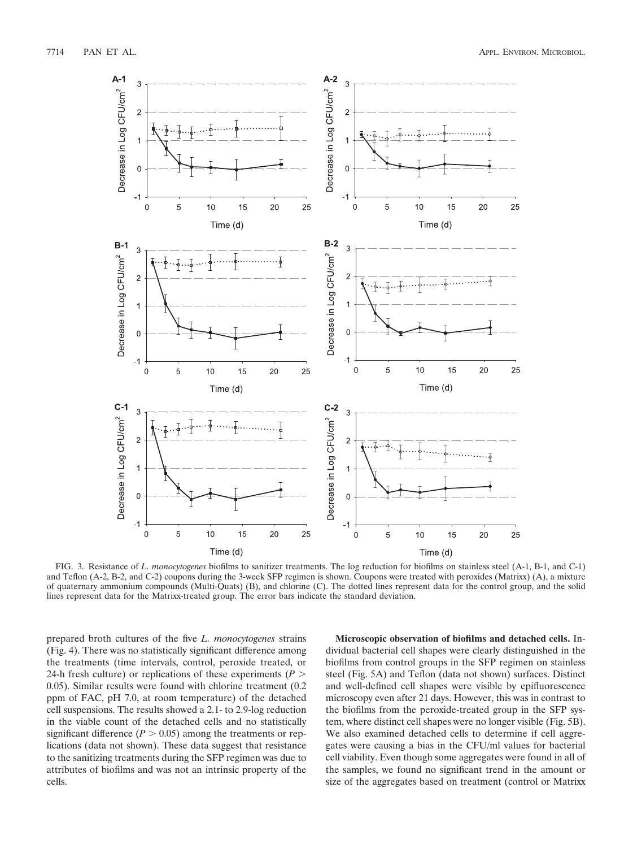

FIG. 3. Resistance of *L. monocytogenes* biofilms to sanitizer treatments. The log reduction for biofilms on stainless steel (A-1, B-1, and C-1) and Teflon (A-2, B-2, and C-2) coupons during the 3-week SFP regimen is shown. Coupons were treated with peroxides (Matrixx) (A), a mixture of quaternary ammonium compounds (Multi-Quats) (B), and chlorine (C). The dotted lines represent data for the control group, and the solid lines represent data for the Matrixx-treated group. The error bars indicate the standard deviation.

prepared broth cultures of the five *L. monocytogenes* strains (Fig. 4). There was no statistically significant difference among the treatments (time intervals, control, peroxide treated, or 24-h fresh culture) or replications of these experiments (*P* 0.05). Similar results were found with chlorine treatment (0.2 ppm of FAC, pH 7.0, at room temperature) of the detached cell suspensions. The results showed a 2.1- to 2.9-log reduction in the viable count of the detached cells and no statistically significant difference  $(P > 0.05)$  among the treatments or replications (data not shown). These data suggest that resistance to the sanitizing treatments during the SFP regimen was due to attributes of biofilms and was not an intrinsic property of the cells.

**Microscopic observation of biofilms and detached cells.** Individual bacterial cell shapes were clearly distinguished in the biofilms from control groups in the SFP regimen on stainless steel (Fig. 5A) and Teflon (data not shown) surfaces. Distinct and well-defined cell shapes were visible by epifluorescence microscopy even after 21 days. However, this was in contrast to the biofilms from the peroxide-treated group in the SFP system, where distinct cell shapes were no longer visible (Fig. 5B). We also examined detached cells to determine if cell aggregates were causing a bias in the CFU/ml values for bacterial cell viability. Even though some aggregates were found in all of the samples, we found no significant trend in the amount or size of the aggregates based on treatment (control or Matrixx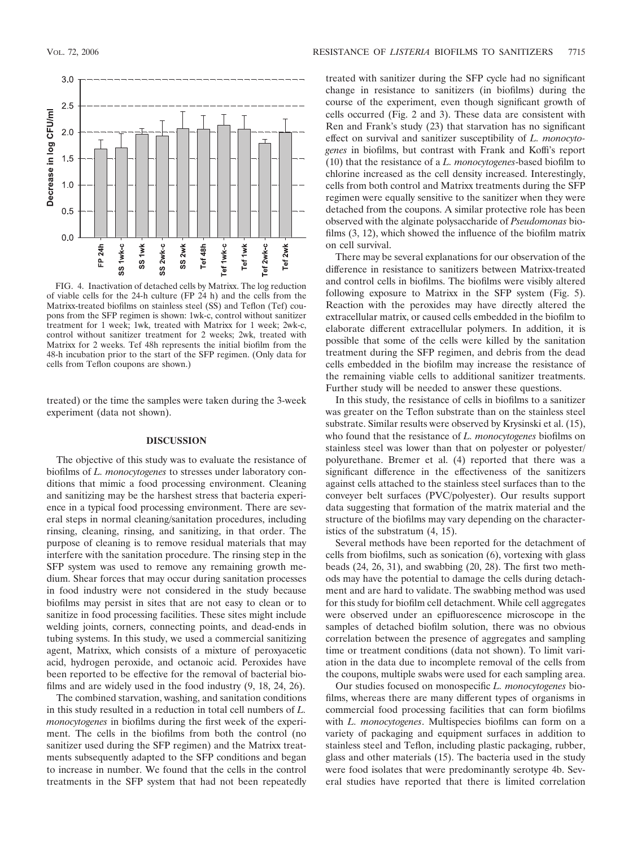

FIG. 4. Inactivation of detached cells by Matrixx. The log reduction of viable cells for the 24-h culture (FP 24 h) and the cells from the Matrixx-treated biofilms on stainless steel (SS) and Teflon (Tef) coupons from the SFP regimen is shown: 1wk-c, control without sanitizer treatment for 1 week; 1wk, treated with Matrixx for 1 week; 2wk-c, control without sanitizer treatment for 2 weeks; 2wk, treated with Matrixx for 2 weeks. Tef 48h represents the initial biofilm from the 48-h incubation prior to the start of the SFP regimen. (Only data for cells from Teflon coupons are shown.)

treated) or the time the samples were taken during the 3-week experiment (data not shown).

### **DISCUSSION**

The objective of this study was to evaluate the resistance of biofilms of *L. monocytogenes* to stresses under laboratory conditions that mimic a food processing environment. Cleaning and sanitizing may be the harshest stress that bacteria experience in a typical food processing environment. There are several steps in normal cleaning/sanitation procedures, including rinsing, cleaning, rinsing, and sanitizing, in that order. The purpose of cleaning is to remove residual materials that may interfere with the sanitation procedure. The rinsing step in the SFP system was used to remove any remaining growth medium. Shear forces that may occur during sanitation processes in food industry were not considered in the study because biofilms may persist in sites that are not easy to clean or to sanitize in food processing facilities. These sites might include welding joints, corners, connecting points, and dead-ends in tubing systems. In this study, we used a commercial sanitizing agent, Matrixx, which consists of a mixture of peroxyacetic acid, hydrogen peroxide, and octanoic acid. Peroxides have been reported to be effective for the removal of bacterial biofilms and are widely used in the food industry (9, 18, 24, 26).

The combined starvation, washing, and sanitation conditions in this study resulted in a reduction in total cell numbers of *L. monocytogenes* in biofilms during the first week of the experiment. The cells in the biofilms from both the control (no sanitizer used during the SFP regimen) and the Matrixx treatments subsequently adapted to the SFP conditions and began to increase in number. We found that the cells in the control treatments in the SFP system that had not been repeatedly

treated with sanitizer during the SFP cycle had no significant change in resistance to sanitizers (in biofilms) during the course of the experiment, even though significant growth of cells occurred (Fig. 2 and 3). These data are consistent with Ren and Frank's study (23) that starvation has no significant effect on survival and sanitizer susceptibility of *L. monocytogenes* in biofilms, but contrast with Frank and Koffi's report (10) that the resistance of a *L. monocytogenes*-based biofilm to chlorine increased as the cell density increased. Interestingly, cells from both control and Matrixx treatments during the SFP regimen were equally sensitive to the sanitizer when they were detached from the coupons. A similar protective role has been observed with the alginate polysaccharide of *Pseudomonas* biofilms (3, 12), which showed the influence of the biofilm matrix on cell survival.

There may be several explanations for our observation of the difference in resistance to sanitizers between Matrixx-treated and control cells in biofilms. The biofilms were visibly altered following exposure to Matrixx in the SFP system (Fig. 5). Reaction with the peroxides may have directly altered the extracellular matrix, or caused cells embedded in the biofilm to elaborate different extracellular polymers. In addition, it is possible that some of the cells were killed by the sanitation treatment during the SFP regimen, and debris from the dead cells embedded in the biofilm may increase the resistance of the remaining viable cells to additional sanitizer treatments. Further study will be needed to answer these questions.

In this study, the resistance of cells in biofilms to a sanitizer was greater on the Teflon substrate than on the stainless steel substrate. Similar results were observed by Krysinski et al. (15), who found that the resistance of *L. monocytogenes* biofilms on stainless steel was lower than that on polyester or polyester/ polyurethane. Bremer et al. (4) reported that there was a significant difference in the effectiveness of the sanitizers against cells attached to the stainless steel surfaces than to the conveyer belt surfaces (PVC/polyester). Our results support data suggesting that formation of the matrix material and the structure of the biofilms may vary depending on the characteristics of the substratum (4, 15).

Several methods have been reported for the detachment of cells from biofilms, such as sonication (6), vortexing with glass beads (24, 26, 31), and swabbing (20, 28). The first two methods may have the potential to damage the cells during detachment and are hard to validate. The swabbing method was used for this study for biofilm cell detachment. While cell aggregates were observed under an epifluorescence microscope in the samples of detached biofilm solution, there was no obvious correlation between the presence of aggregates and sampling time or treatment conditions (data not shown). To limit variation in the data due to incomplete removal of the cells from the coupons, multiple swabs were used for each sampling area.

Our studies focused on monospecific *L. monocytogenes* biofilms, whereas there are many different types of organisms in commercial food processing facilities that can form biofilms with *L. monocytogenes*. Multispecies biofilms can form on a variety of packaging and equipment surfaces in addition to stainless steel and Teflon, including plastic packaging, rubber, glass and other materials (15). The bacteria used in the study were food isolates that were predominantly serotype 4b. Several studies have reported that there is limited correlation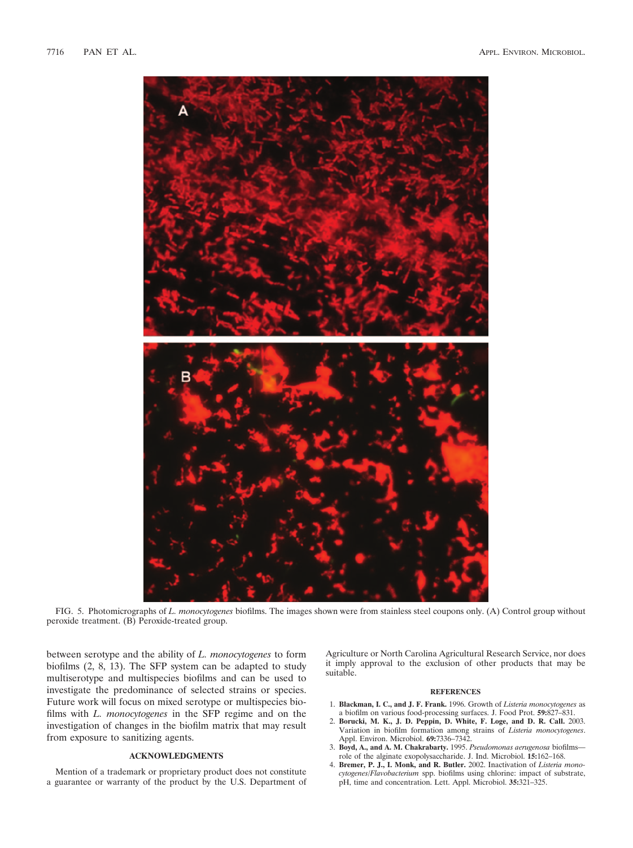

FIG. 5. Photomicrographs of *L. monocytogenes* biofilms. The images shown were from stainless steel coupons only. (A) Control group without peroxide treatment. (B) Peroxide-treated group.

between serotype and the ability of *L. monocytogenes* to form biofilms (2, 8, 13). The SFP system can be adapted to study multiserotype and multispecies biofilms and can be used to investigate the predominance of selected strains or species. Future work will focus on mixed serotype or multispecies biofilms with *L. monocytogenes* in the SFP regime and on the investigation of changes in the biofilm matrix that may result from exposure to sanitizing agents.

## **ACKNOWLEDGMENTS**

Mention of a trademark or proprietary product does not constitute a guarantee or warranty of the product by the U.S. Department of Agriculture or North Carolina Agricultural Research Service, nor does it imply approval to the exclusion of other products that may be suitable.

#### **REFERENCES**

- 1. **Blackman, I. C., and J. F. Frank.** 1996. Growth of *Listeria monocytogenes* as a biofilm on various food-processing surfaces. J. Food Prot. **59:**827–831.
- 2. **Borucki, M. K., J. D. Peppin, D. White, F. Loge, and D. R. Call.** 2003. Variation in biofilm formation among strains of *Listeria monocytogenes*. Appl. Environ. Microbiol. **69:**7336–7342.
- 3. **Boyd, A., and A. M. Chakrabarty.** 1995. *Pseudomonas aerugenosa* biofilms role of the alginate exopolysaccharide. J. Ind. Microbiol. **15:**162–168.
- 4. **Bremer, P. J., I. Monk, and R. Butler.** 2002. Inactivation of *Listeria monocytogenes*/*Flavobacterium* spp. biofilms using chlorine: impact of substrate, pH, time and concentration. Lett. Appl. Microbiol. **35:**321–325.